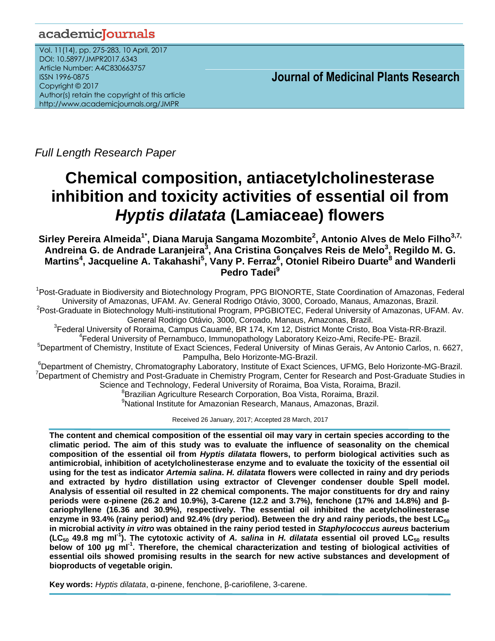# academicJournals

Vol. 11(14), pp. 275-283, 10 April, 2017 DOI: 10.5897/JMPR2017.6343 Article Number: A4C830663757 ISSN 1996-0875 Copyright © 2017 Author(s) retain the copyright of this article http://www.academicjournals.org/JMPR

 **Journal of Medicinal Plants Research**

*Full Length Research Paper* 

# **Chemical composition, antiacetylcholinesterase inhibition and toxicity activities of essential oil from**  *Hyptis dilatata* **(Lamiaceae) flowers**

**Sirley Pereira Almeida1\* , Diana Maruja Sangama Mozombite<sup>2</sup> , Antonio Alves de Melo Filho3,7, Andreina G. de Andrade Laranjeira<sup>3</sup> , Ana Cristina Gonçalves Reis de Melo<sup>3</sup> , Regildo M. G. Martins<sup>4</sup> , Jacqueline A. Takahashi<sup>5</sup> , Vany P. Ferraz<sup>6</sup> , Otoniel Ribeiro Duarte<sup>8</sup> and Wanderli Pedro Tadei<sup>9</sup>**

<sup>1</sup>Post-Graduate in Biodiversity and Biotechnology Program, PPG BIONORTE, State Coordination of Amazonas, Federal University of Amazonas, UFAM. Av. General Rodrigo Otávio, 3000, Coroado, Manaus, Amazonas, Brazil. <sup>2</sup>Post-Graduate in Biotechnology Multi-institutional Program, PPGBIOTEC, Federal University of Amazonas, UFAM. Av.

General Rodrigo Otávio, 3000, Coroado, Manaus, Amazonas, Brazil.

3 Federal University of Roraima, Campus Cauamé, BR 174, Km 12, District Monte Cristo, Boa Vista-RR-Brazil. 4 Federal University of Pernambuco, Immunopathology Laboratory Keizo-Ami, Recife-PE- Brazil.

<sup>5</sup>Department of Chemistry, Institute of Exact Sciences, Federal University of Minas Gerais, Av Antonio Carlos, n. 6627,

Pampulha, Belo Horizonte-MG-Brazil.

<sup>6</sup>Department of Chemistry, Chromatography Laboratory, Institute of Exact Sciences, UFMG, Belo Horizonte-MG-Brazil. <sup>7</sup>Department of Chemistry and Post-Graduate in Chemistry Program, Center for Research and Post-Graduate Studies in Science and Technology, Federal University of Roraima, Boa Vista, Roraima, Brazil. <sup>8</sup>Brazilian Agriculture Research Corporation, Boa Vista, Roraima, Brazil.

<sup>9</sup>National Institute for Amazonian Research, Manaus, Amazonas, Brazil.

Received 26 January, 2017; Accepted 28 March, 2017

**The content and chemical composition of the essential oil may vary in certain species according to the climatic period. The aim of this study was to evaluate the influence of seasonality on the chemical composition of the essential oil from** *Hyptis dilatata* **flowers, to perform biological activities such as antimicrobial, inhibition of acetylcholinesterase enzyme and to evaluate the toxicity of the essential oil using for the test as indicator** *Artemia salina***.** *H. dilatata* **flowers were collected in rainy and dry periods and extracted by hydro distillation using extractor of Clevenger condenser double Spell model. Analysis of essential oil resulted in 22 chemical components. The major constituents for dry and rainy periods were α-pinene (26.2 and 10.9%), 3-Carene (12.2 and 3.7%), fenchone (17% and 14.8%) and βcariophyllene (16.36 and 30.9%), respectively. The essential oil inhibited the acetylcholinesterase enzyme in 93.4% (rainy period) and 92.4% (dry period). Between the dry and rainy periods, the best LC<sup>50</sup> in microbial activity** *in vitro* **was obtained in the rainy period tested in** *Staphylococcus aureus* **bacterium (LC<sup>50</sup> 49.8 mg ml -1 ). The cytotoxic activity of** *A. salina* **in** *H. dilatata* **essential oil proved LC<sup>50</sup> results below of 100 μg ml -1 . Therefore, the chemical characterization and testing of biological activities of essential oils showed promising results in the search for new active substances and development of bioproducts of vegetable origin.**

**Key words:** *Hyptis dilatata*, α-pinene, fenchone, β-cariofilene, 3-carene.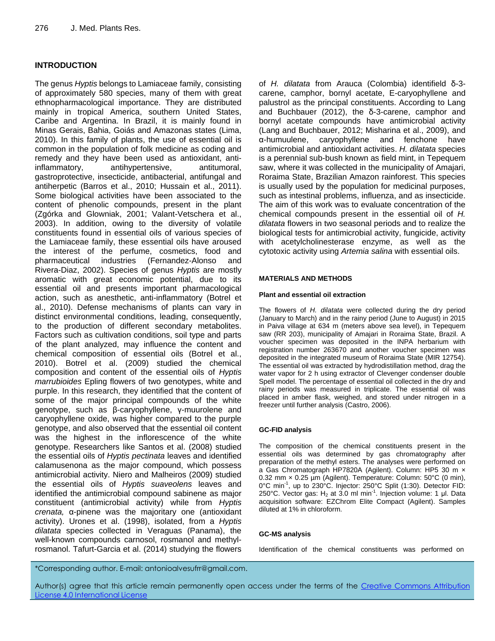# **INTRODUCTION**

The genus *Hyptis* belongs to Lamiaceae family, consisting of approximately 580 species, many of them with great ethnopharmacological importance. They are distributed mainly in tropical America, southern United States, Caribe and Argentina. In Brazil, it is mainly found in Minas Gerais, Bahia, Goiás and Amazonas states (Lima, 2010). In this family of plants, the use of essential oil is common in the population of folk medicine as coding and remedy and they have been used as antioxidant, antiinflammatory, antihypertensive, antitumoral, gastroprotective, insecticide, antibacterial, antifungal and antiherpetic (Barros et al., 2010; Hussain et al., 2011). Some biological activities have been associated to the content of phenolic compounds, present in the plant (Zgórka and Glowniak, 2001; Valant-Vetschera et al., 2003). In addition, owing to the diversity of volatile constituents found in essential oils of various species of the Lamiaceae family, these essential oils have aroused the interest of the perfume, cosmetics, food and pharmaceutical industries (Fernandez-Alonso and Rivera-Diaz, 2002). Species of genus *Hyptis* are mostly aromatic with great economic potential, due to its essential oil and presents important pharmacological action, such as anesthetic, anti-inflammatory (Botrel et al., 2010). Defense mechanisms of plants can vary in distinct environmental conditions, leading, consequently, to the production of different secondary metabolites. Factors such as cultivation conditions, soil type and parts of the plant analyzed, may influence the content and chemical composition of essential oils (Botrel et al., 2010). Botrel et al. (2009) studied the chemical composition and content of the essential oils of *Hyptis marrubioides* Epling flowers of two genotypes, white and purple. In this research, they identified that the content of some of the major principal compounds of the white genotype, such as β-caryophyllene, γ-muurolene and caryophyllene oxide, was higher compared to the purple genotype, and also observed that the essential oil content was the highest in the inflorescence of the white genotype. Researchers like Santos et al. (2008) studied the essential oils of *Hyptis pectinata* leaves and identified calamusenona as the major compound, which possess antimicrobial activity. Niero and Malheiros (2009) studied the essential oils of *Hyptis suaveolens* leaves and identified the antimicrobial compound sabinene as major constituent (antimicrobial activity) while from *Hyptis crenata,* α-pinene was the majoritary one (antioxidant activity). Urones et al. (1998), isolated, from a *Hyptis dilatata* species collected in Veraguas (Panama), the well-known compounds carnosol, rosmanol and methylrosmanol. Tafurt-Garcia et al. (2014) studying the flowers

of *H. dilatata* from Arauca (Colombia) identifield δ-3 carene, camphor, bornyl acetate, E-caryophyllene and palustrol as the principal constituents. According to Lang and Buchbauer (2012), the δ-3-carene, camphor and bornyl acetate compounds have antimicrobial activity (Lang and Buchbauer, 2012; Misharina et al., 2009), and α-humuulene, caryophyllene and fenchone have antimicrobial and antioxidant activities. *H. dilatata* species is a perennial sub-bush known as field mint, in Tepequem saw, where it was collected in the municipality of Amajari, Roraima State, Brazilian Amazon rainforest. This species is usually used by the population for medicinal purposes, such as intestinal problems, influenza, and as insecticide. The aim of this work was to evaluate concentration of the chemical compounds present in the essential oil of *H. dilatata* flowers in two seasonal periods and to realize the biological tests for antimicrobial activity, fungicide, activity with acetylcholinesterase enzyme, as well as the cytotoxic activity using *Artemia salina* with essential oils.

#### **MATERIALS AND METHODS**

#### **Plant and essential oil extraction**

The flowers of *H. dilatata* were collected during the dry period (January to March) and in the rainy period (June to August) in 2015 in Paiva village at 634 m (meters above sea level), in Tepequem saw (RR 203), municipality of Amajari in Roraima State, Brazil. A voucher specimen was deposited in the INPA herbarium with registration number 263670 and another voucher specimen was deposited in the integrated museum of Roraima State (MIR 12754). The essential oil was extracted by hydrodistillation method, drag the water vapor for 2 h using extractor of Clevenger condenser double Spell model. The percentage of essential oil collected in the dry and rainy periods was measured in triplicate. The essential oil was placed in amber flask, weighed, and stored under nitrogen in a freezer until further analysis (Castro, 2006).

## **GC-FID analysis**

The composition of the chemical constituents present in the essential oils was determined by gas chromatography after preparation of the methyl esters. The analyses were performed on a Gas Chromatograph HP7820A (Agilent). Column: HP5 30 m × 0.32 mm × 0.25 µm (Agilent). Temperature: Column: 50°C (0 min), 0°C min<sup>-1</sup>, up to 230°C. Injector: 250°C Split (1:30). Detector FID: 250°C. Vector gas: H<sub>2</sub> at 3.0 ml min<sup>-1</sup>. Injection volume: 1 μl. Data acquisition software: EZChrom Elite Compact (Agilent). Samples diluted at 1% in chloroform.

#### **GC-MS analysis**

Identification of the chemical constituents was performed on

\*Corresponding author. E-mail: antonioalvesufrr@gmail.com.

Author(s) agree that this article remain permanently open access under the terms of the Creative Commons Attribution License 4.0 [International](http://creativecommons.org/licenses/by/4.0/deed.en_US) License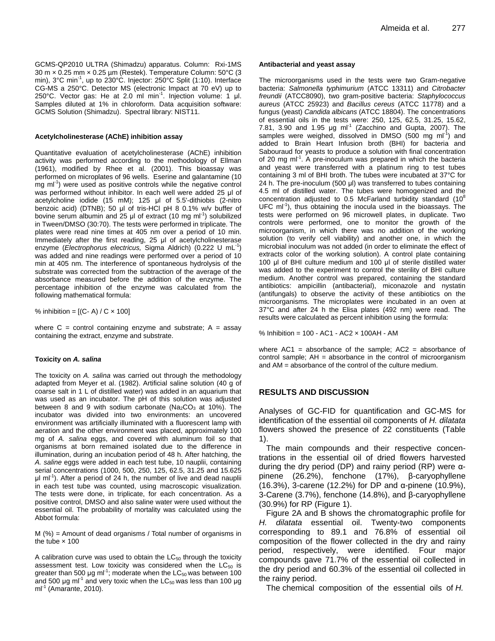GCMS-QP2010 ULTRA (Shimadzu) apparatus. Column: Rxi-1MS 30 m × 0.25 mm × 0.25 µm (Restek). Temperature Column: 50°C (3 min), 3°C min<sup>-1</sup>, up to 230°C. Injector: 250°C Split (1:10). Interface CG-MS a 250°C. Detector MS (electronic Impact at 70 eV) up to 250°C. Vector gas: He at 2.0 ml min<sup>-1</sup>. Injection volume: 1 μl. Samples diluted at 1% in chloroform. Data acquisition software: GCMS Solution (Shimadzu). Spectral library: NIST11.

#### **Acetylcholinesterase (AChE) inhibition assay**

Quantitative evaluation of acetylcholinesterase (AChE) inhibition activity was performed according to the methodology of Ellman (1961), modified by Rhee et al. (2001). This bioassay was performed on microplates of 96 wells. Eserine and galantamine (10 mg ml<sup>-1</sup>) were used as positive controls while the negative control was performed without inhibitor. In each well were added 25 μl of acetylcholine iodide (15 mM); 125 μl of 5.5'-dithiobis (2-nitro benzoic acid) (DTNB); 50 μl of tris-HCl pH 8 0.1% w/v buffer of bovine serum albumin and 25  $\mu$ l of extract (10 mg ml<sup>-1</sup>) solubilized in Tween/DMSO (30:70). The tests were performed in triplicate. The plates were read nine times at 405 nm over a period of 10 min. Immediately after the first reading, 25 μl of acetylcholinesterase enzyme (*Electrophorus electricus*, Sigma Aldrich) (0.222 U mL<sup>-1</sup>) was added and nine readings were performed over a period of 10 min at 405 nm. The interference of spontaneous hydrolysis of the substrate was corrected from the subtraction of the average of the absorbance measured before the addition of the enzyme. The percentage inhibition of the enzyme was calculated from the following mathematical formula:

% inhibition =  $[(C - A) / C \times 100]$ 

where  $C =$  control containing enzyme and substrate;  $A =$  assay containing the extract, enzyme and substrate.

#### **Toxicity on** *A. salina*

The toxicity on *A. salina* was carried out through the methodology adapted from Meyer et al. (1982). Artificial saline solution (40 g of coarse salt in 1 L of distilled water) was added in an aquarium that was used as an incubator. The pH of this solution was adjusted between 8 and 9 with sodium carbonate ( $Na<sub>2</sub>CO<sub>3</sub>$  at 10%). The incubator was divided into two environments: an uncovered environment was artificially illuminated with a fluorescent lamp with aeration and the other environment was placed, approximately 100 mg of *A. salina* eggs, and covered with aluminum foil so that organisms at born remained isolated due to the difference in illumination, during an incubation period of 48 h. After hatching, the *A. saline* eggs were added in each test tube, 10 nauplii, containing serial concentrations (1000, 500, 250, 125, 62.5, 31.25 and 15.625 μl ml<sup>-1</sup>). After a period of 24 h, the number of live and dead nauplii in each test tube was counted, using macroscopic visualization. The tests were done, in triplicate, for each concentration. As a positive control, DMSO and also saline water were used without the essential oil. The probability of mortality was calculated using the Abbot formula:

M (%) = Amount of dead organisms / Total number of organisms in the tube  $\times$  100

A calibration curve was used to obtain the  $LC_{50}$  through the toxicity assessment test. Low toxicity was considered when the  $LC_{50}$  is greater than 500 µg ml<sup>-1</sup>; moderate when the LC<sub>50</sub> was between 100 and 500  $\mu$ g ml<sup>-1</sup> and very toxic when the LC<sub>50</sub> was less than 100  $\mu$ g ml<sup>-1</sup> (Amarante, 2010).

#### **Antibacterial and yeast assay**

The microorganisms used in the tests were two Gram-negative bacteria: *Salmonella typhimurium* (ATCC 13311) and *Citrobacter freundii* (ATCC8090), two gram-positive bacteria: *Staphylococcus aureus* (ATCC 25923) and *Bacillus cereus* (ATCC 11778) and a fungus (yeast) *Candida albicans* (ATCC 18804). The concentrations of essential oils in the tests were: 250, 125, 62.5, 31.25, 15.62, 7.81, 3.90 and 1.95  $\mu$ g ml<sup>-1</sup> (Zacchino and Gupta, 2007). The samples were weighed, dissolved in DMSO (500 mg ml<sup>-1</sup>) and added to Brain Heart Infusion broth (BHI) for bacteria and Sabouraud for yeasts to produce a solution with final concentration of 20 mg ml<sup>-1</sup>. A pre-inoculum was prepared in which the bacteria and yeast were transferred with a platinum ring to test tubes containing 3 ml of BHI broth. The tubes were incubated at 37°C for 24 h. The pre-inoculum (500 μl) was transferred to tubes containing 4.5 ml of distilled water. The tubes were homogenized and the concentration adjusted to 0.5 McFarland turbidity standard  $(10^8$ UFC  $ml^{-1}$ ), thus obtaining the inocula used in the bioassays. The tests were performed on 96 microwell plates, in duplicate. Two controls were performed, one to monitor the growth of the microorganism, in which there was no addition of the working solution (to verify cell viability) and another one, in which the microbial inoculum was not added (in order to eliminate the effect of extracts color of the working solution). A control plate containing 100 μl of BHI culture medium and 100 μl of sterile distilled water was added to the experiment to control the sterility of BHI culture medium. Another control was prepared, containing the standard antibiotics: ampicillin (antibacterial), miconazole and nystatin (antifungals) to observe the activity of these antibiotics on the microorganisms. The microplates were incubated in an oven at 37°C and after 24 h the Elisa plates (492 nm) were read. The results were calculated as percent inhibition using the formula:

% Inhibition = 100 - AC1 - AC2 × 100AH - AM

where  $AC1$  = absorbance of the sample;  $AC2$  = absorbance of control sample;  $AH =$  absorbance in the control of microorganism and AM = absorbance of the control of the culture medium.

# **RESULTS AND DISCUSSION**

Analyses of GC-FID for quantification and GC-MS for identification of the essential oil components of *H. dilatata* flowers showed the presence of 22 constituents (Table 1).

The main compounds and their respective concentrations in the essential oil of dried flowers harvested during the dry period (DP) and rainy period (RP) were αpinene (26.2%), fenchone (17%), β-caryophyllene (16.3%), 3-carene (12.2%) for DP and α-pinene (10.9%), 3-Carene (3.7%), fenchone (14.8%), and β-caryophyllene (30.9%) for RP (Figure 1).

Figure 2A and B shows the chromatographic profile for *H. dilatata* essential oil. Twenty-two components corresponding to 89.1 and 76.8% of essential oil composition of the flower collected in the dry and rainy period, respectively, were identified. Four major compounds gave 71.7% of the essential oil collected in the dry period and 60.3% of the essential oil collected in the rainy period.

The chemical composition of the essential oils of *H.*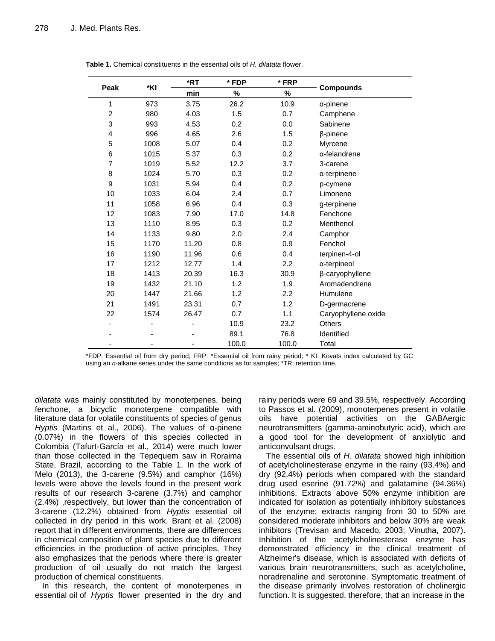| Peak                    | *KI  | *RT   | * FDP<br>* FRP<br>min<br>%<br>% |                  |                     |
|-------------------------|------|-------|---------------------------------|------------------|---------------------|
|                         |      |       |                                 |                  | <b>Compounds</b>    |
| 1                       | 973  | 3.75  | 26.2                            | 10.9             | $\alpha$ -pinene    |
| $\overline{c}$          | 980  | 4.03  | 1.5                             | 0.7              | Camphene            |
| 3                       | 993  | 4.53  | 0.2                             | 0.0              | Sabinene            |
| $\overline{\mathbf{4}}$ | 996  | 4.65  | 2.6                             | 1.5              | β-pinene            |
| 5                       | 1008 | 5.07  | 0.4                             | 0.2              | Myrcene             |
| $\,6$                   | 1015 | 5.37  | 0.3                             | 0.2              | α-felandrene        |
| 7                       | 1019 | 5.52  | 12.2                            | 3.7              | 3-carene            |
| 8                       | 1024 | 5.70  | 0.3                             | 0.2              | α-terpinene         |
| $\boldsymbol{9}$        | 1031 | 5.94  | 0.4                             | 0.2              | p-cymene            |
| 10                      | 1033 | 6.04  | 2.4                             | 0.7              | Limonene            |
| 11                      | 1058 | 6.96  | 0.4                             | 0.3              | g-terpinene         |
| 12                      | 1083 | 7.90  | 17.0                            | 14.8             | Fenchone            |
| 13                      | 1110 | 8.95  | 0.3                             | 0.2              | Menthenol           |
| 14                      | 1133 | 9.80  | 2.0                             | 2.4              | Camphor             |
| 15                      | 1170 | 11.20 | 0.8                             | 0.9              | Fenchol             |
| 16                      | 1190 | 11.96 | 0.6                             | 0.4              | terpinen-4-ol       |
| 17                      | 1212 | 12.77 | 1.4                             | $2.2\phantom{0}$ | a-terpineol         |
| 18                      | 1413 | 20.39 | 16.3                            | 30.9             | β-caryophyllene     |
| 19                      | 1432 | 21.10 | 1.2                             | 1.9              | Aromadendrene       |
| 20                      | 1447 | 21.66 | 1.2                             | 2.2              | Humulene            |
| 21                      | 1491 | 23.31 | 0.7                             | 1.2              | D-germacrene        |
| 22                      | 1574 | 26.47 | 0.7                             | 1.1              | Caryophyllene oxide |
|                         |      |       | 10.9                            | 23.2             | <b>Others</b>       |
|                         |      |       | 89.1                            | 76.8             | Identified          |
|                         |      |       | 100.0                           | 100.0            | Total               |

**Table 1.** Chemical constituents in the essential oils of *H. dilatata* flower.

\*FDP: Essential oil from dry period; FRP: \*Essential oil from rainy period; \* KI: Kovats index calculated by GC using an *n*-alkane series under the same conditions as for samples; \*TR: retention time.

*dilatata* was mainly constituted by monoterpenes, being fenchone, a bicyclic monoterpene compatible with literature data for volatile constituents of species of genus *Hyptis* (Martins et al., 2006). The values of α-pinene (0.07%) in the flowers of this species collected in Colombia (Tafurt-García et al., 2014) were much lower than those collected in the Tepequem saw in Roraima State, Brazil, according to the Table 1. In the work of Melo (2013), the 3-carene (9.5%) and camphor (16%) levels were above the levels found in the present work results of our research 3-carene (3.7%) and camphor (2.4%) ,respectively, but lower than the concentration of 3-carene (12.2%) obtained from *Hyptis* essential oil collected in dry period in this work. Brant et al. (2008) report that in different environments, there are differences in chemical composition of plant species due to different efficiencies in the production of active principles. They also emphasizes that the periods where there is greater production of oil usually do not match the largest production of chemical constituents.

In this research, the content of monoterpenes in essential oil of *Hyptis* flower presented in the dry and rainy periods were 69 and 39.5%, respectively. According to Passos et al. (2009), monoterpenes present in volatile oils have potential activities on the GABAergic neurotransmitters (gamma-aminobutyric acid), which are a good tool for the development of anxiolytic and anticonvulsant drugs.

The essential oils of *H. dilatata* showed high inhibition of acetylcholinesterase enzyme in the rainy (93.4%) and dry (92.4%) periods when compared with the standard drug used eserine (91.72%) and galatamine (94.36%) inhibitions. Extracts above 50% enzyme inhibition are indicated for isolation as potentially inhibitory substances of the enzyme; extracts ranging from 30 to 50% are considered moderate inhibitors and below 30% are weak inhibitors (Trevisan and Macedo, 2003; Vinutha, 2007). Inhibition of the acetylcholinesterase enzyme has demonstrated efficiency in the clinical treatment of Alzheimer's disease, which is associated with deficits of various brain neurotransmitters, such as acetylcholine, noradrenaline and serotonine. Symptomatic treatment of the disease primarily involves restoration of cholinergic function. It is suggested, therefore, that an increase in the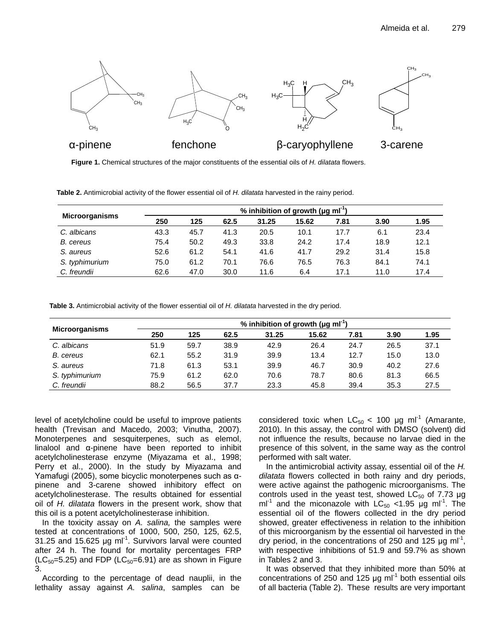

**Figure 1.** Chemical structures of the major constituents of the essential oils of *H. dilatata* flowers.

**Table 2.** Antimicrobial activity of the flower essential oil of *H. dilatata* harvested in the rainy period.

|                       | % inhibition of growth ( $\mu$ g ml <sup>-1</sup> ) |      |      |       |       |      |      |      |  |
|-----------------------|-----------------------------------------------------|------|------|-------|-------|------|------|------|--|
| <b>Microorganisms</b> | 250                                                 | 125  | 62.5 | 31.25 | 15.62 | 7.81 | 3.90 | 1.95 |  |
| C. albicans           | 43.3                                                | 45.7 | 41.3 | 20.5  | 10.1  | 17.7 | 6.1  | 23.4 |  |
| B. cereus             | 75.4                                                | 50.2 | 49.3 | 33.8  | 24.2  | 17.4 | 18.9 | 12.1 |  |
| S. aureus             | 52.6                                                | 61.2 | 54.1 | 41.6  | 41.7  | 29.2 | 31.4 | 15.8 |  |
| S. typhimurium        | 75.0                                                | 61.2 | 70.1 | 76.6  | 76.5  | 76.3 | 84.1 | 74.1 |  |
| C. freundii           | 62.6                                                | 47.0 | 30.0 | 11.6  | 6.4   | 17.1 | 11.0 | 17.4 |  |

**Table 3.** Antimicrobial activity of the flower essential oil of *H. dilatata* harvested in the dry period.

|                       | % inhibition of growth ( $\mu$ g ml <sup>-1</sup> ) |      |      |       |       |      |      |      |  |
|-----------------------|-----------------------------------------------------|------|------|-------|-------|------|------|------|--|
| <b>Microorganisms</b> | 250                                                 | 125  | 62.5 | 31.25 | 15.62 | 7.81 | 3.90 | 1.95 |  |
| C. albicans           | 51.9                                                | 59.7 | 38.9 | 42.9  | 26.4  | 24.7 | 26.5 | 37.1 |  |
| B. cereus             | 62.1                                                | 55.2 | 31.9 | 39.9  | 13.4  | 12.7 | 15.0 | 13.0 |  |
| S. aureus             | 71.8                                                | 61.3 | 53.1 | 39.9  | 46.7  | 30.9 | 40.2 | 27.6 |  |
| S. typhimurium        | 75.9                                                | 61.2 | 62.0 | 70.6  | 78.7  | 80.6 | 81.3 | 66.5 |  |
| C. freundii           | 88.2                                                | 56.5 | 37.7 | 23.3  | 45.8  | 39.4 | 35.3 | 27.5 |  |

level of acetylcholine could be useful to improve patients health (Trevisan and Macedo, 2003; Vinutha, 2007). Monoterpenes and sesquiterpenes, such as elemol, linalool and α-pinene have been reported to inhibit acetylcholinesterase enzyme (Miyazama et al., 1998; Perry et al., 2000). In the study by Miyazama and Yamafugi (2005), some bicyclic monoterpenes such as αpinene and 3-carene showed inhibitory effect on acetylcholinesterase. The results obtained for essential oil of *H. dilatata* flowers in the present work, show that this oil is a potent acetylcholinesterase inhibition.

In the toxicity assay on *A. salina,* the samples were tested at concentrations of 1000, 500, 250, 125, 62.5, 31.25 and 15.625  $\mu$ g ml<sup>-1</sup>. Survivors larval were counted after 24 h. The found for mortality percentages FRP  $(LC_{50}=5.25)$  and FDP  $(LC_{50}=6.91)$  are as shown in Figure 3.

According to the percentage of dead nauplii, in the lethality assay against *A. salina*, samples can be

considered toxic when  $LC_{50}$  < 100 µg ml<sup>-1</sup> (Amarante, 2010). In this assay, the control with DMSO (solvent) did not influence the results, because no larvae died in the presence of this solvent, in the same way as the control performed with salt water.

In the antimicrobial activity assay, essential oil of the *H. dilatata* flowers collected in both rainy and dry periods, were active against the pathogenic microorganisms. The controls used in the yeast test, showed  $LC_{50}$  of 7.73 µg ml<sup>-1</sup> and the miconazole with  $LC_{50}$  <1.95  $\mu$ g ml<sup>-1</sup>. The essential oil of the flowers collected in the dry period showed, greater effectiveness in relation to the inhibition of this microorganism by the essential oil harvested in the dry period, in the concentrations of 250 and 125  $\mu$ g ml<sup>-1</sup>, with respective inhibitions of 51.9 and 59.7% as shown in Tables 2 and 3.

It was observed that they inhibited more than 50% at concentrations of 250 and 125  $\mu$ g ml<sup>-1</sup> both essential oils of all bacteria (Table 2). These results are very important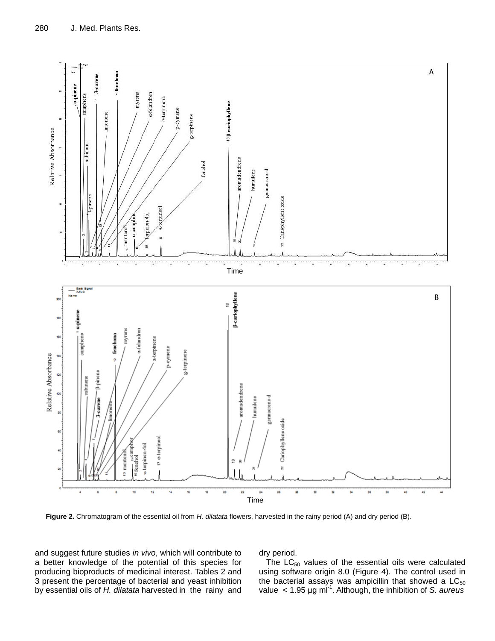

**Figure 2.** Chromatogram of the essential oil from *H. dilatata* flowers, harvested in the rainy period (A) and dry period (B).

and suggest future studies *in vivo*, which will contribute to a better knowledge of the potential of this species for producing bioproducts of medicinal interest. Tables 2 and 3 present the percentage of bacterial and yeast inhibition by essential oils of *H. dilatata* harvested in the rainy and dry period.

The  $LC_{50}$  values of the essential oils were calculated using software origin 8.0 (Figure 4). The control used in the bacterial assays was ampicillin that showed a LC $_{50}$ value < 1.95 μg ml -1 . Although, the inhibition of *S. aureus*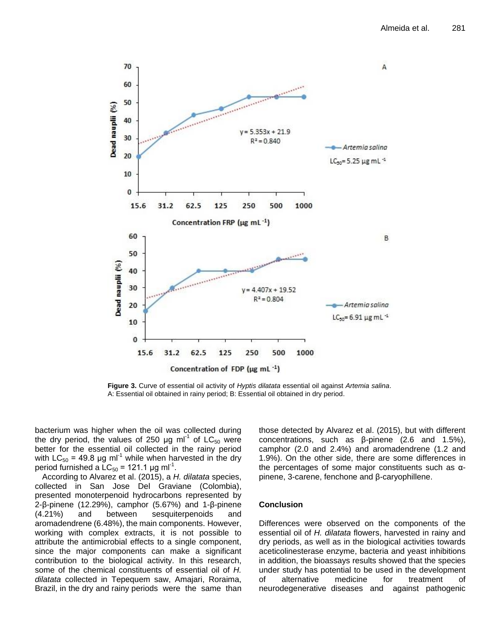

**Figure 3.** Curve of essential oil activity of *Hyptis dilatata* essential oil against *Artemia salina*. A: Essential oil obtained in rainy period; B: Essential oil obtained in dry period.

bacterium was higher when the oil was collected during the dry period, the values of 250  $\mu$ g ml<sup>-1</sup> of LC<sub>50</sub> were better for the essential oil collected in the rainy period with  $LC_{50}$  = 49.8 µg ml<sup>-1</sup> while when harvested in the dry period furnished a  $LC_{50}$  = 121.1 μg ml<sup>-1</sup>.

According to Alvarez et al. (2015), a *H. dilatata* species, collected in San Jose Del Graviane (Colombia), presented monoterpenoid hydrocarbons represented by 2-β-pinene (12.29%), camphor (5.67%) and 1-β-pinene (4.21%) and between sesquiterpenoids and aromadendrene (6.48%), the main components. However, working with complex extracts, it is not possible to attribute the antimicrobial effects to a single component, since the major components can make a significant contribution to the biological activity. In this research, some of the chemical constituents of essential oil of *H. dilatata* collected in Tepequem saw, Amajari, Roraima, Brazil, in the dry and rainy periods were the same than

those detected by Alvarez et al. (2015), but with different concentrations, such as β-pinene (2.6 and 1.5%), camphor (2.0 and 2.4%) and aromadendrene (1.2 and 1.9%). On the other side, there are some differences in the percentages of some major constituents such as αpinene, 3-carene, fenchone and β-caryophillene.

## **Conclusion**

Differences were observed on the components of the essential oil of *H. dilatata* flowers, harvested in rainy and dry periods, as well as in the biological activities towards aceticolinesterase enzyme, bacteria and yeast inhibitions in addition, the bioassays results showed that the species under study has potential to be used in the development of alternative medicine for treatment of neurodegenerative diseases and against pathogenic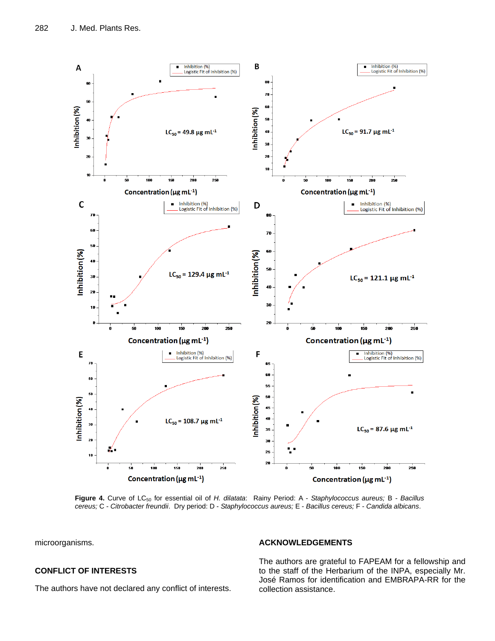

**Figure 4.** Curve of LC<sup>50</sup> for essential oil of *H. dilatata*: Rainy Period: A - *Staphylococcus aureus;* B - *Bacillus cereus;* C - *Citrobacter freundii*. Dry period: D - *Staphylococcus aureus;* E - *Bacillus cereus;* F - *Candida albicans*.

microorganisms.

# **CONFLICT OF INTERESTS**

The authors have not declared any conflict of interests.

# **ACKNOWLEDGEMENTS**

The authors are grateful to FAPEAM for a fellowship and to the staff of the Herbarium of the INPA, especially Mr. José Ramos for identification and EMBRAPA-RR for the collection assistance.